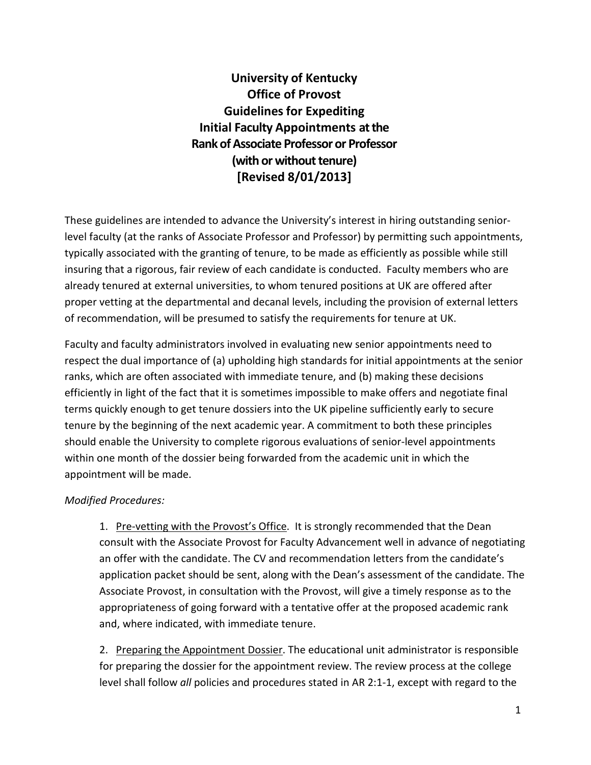**University of Kentucky Office of Provost Guidelines for Expediting Initial Faculty Appointments at the Rank of Associate Professor or Professor (with or without tenure) [Revised 8/01/2013]**

These guidelines are intended to advance the University's interest in hiring outstanding seniorlevel faculty (at the ranks of Associate Professor and Professor) by permitting such appointments, typically associated with the granting of tenure, to be made as efficiently as possible while still insuring that a rigorous, fair review of each candidate is conducted. Faculty members who are already tenured at external universities, to whom tenured positions at UK are offered after proper vetting at the departmental and decanal levels, including the provision of external letters of recommendation, will be presumed to satisfy the requirements for tenure at UK.

Faculty and faculty administrators involved in evaluating new senior appointments need to respect the dual importance of (a) upholding high standards for initial appointments at the senior ranks, which are often associated with immediate tenure, and (b) making these decisions efficiently in light of the fact that it is sometimes impossible to make offers and negotiate final terms quickly enough to get tenure dossiers into the UK pipeline sufficiently early to secure tenure by the beginning of the next academic year. A commitment to both these principles should enable the University to complete rigorous evaluations of senior-level appointments within one month of the dossier being forwarded from the academic unit in which the appointment will be made.

## *Modified Procedures:*

1. Pre-vetting with the Provost's Office. It is strongly recommended that the Dean consult with the Associate Provost for Faculty Advancement well in advance of negotiating an offer with the candidate. The CV and recommendation letters from the candidate's application packet should be sent, along with the Dean's assessment of the candidate. The Associate Provost, in consultation with the Provost, will give a timely response as to the appropriateness of going forward with a tentative offer at the proposed academic rank and, where indicated, with immediate tenure.

2. Preparing the Appointment Dossier. The educational unit administrator is responsible for preparing the dossier for the appointment review. The review process at the college level shall follow *all* policies and procedures stated in AR 2:1-1, except with regard to the